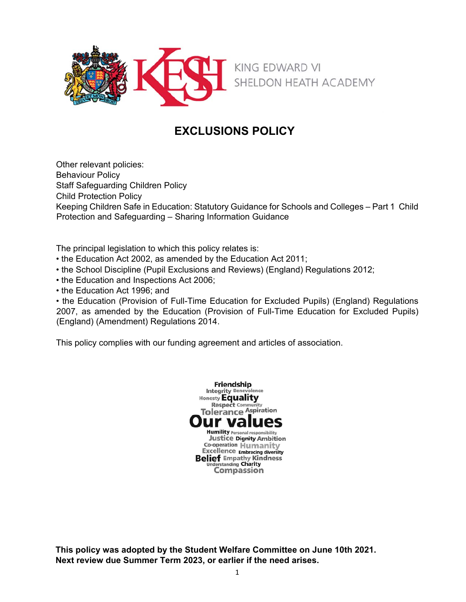

# **EXCLUSIONS POLICY**

Other relevant policies: Behaviour Policy Staff Safeguarding Children Policy Child Protection Policy Keeping Children Safe in Education: Statutory Guidance for Schools and Colleges – Part 1 Child Protection and Safeguarding – Sharing Information Guidance

The principal legislation to which this policy relates is:

- the Education Act 2002, as amended by the Education Act 2011;
- the School Discipline (Pupil Exclusions and Reviews) (England) Regulations 2012;
- the Education and Inspections Act 2006;
- the Education Act 1996; and

• the Education (Provision of Full-Time Education for Excluded Pupils) (England) Regulations 2007, as amended by the Education (Provision of Full-Time Education for Excluded Pupils) (England) (Amendment) Regulations 2014.

This policy complies with our funding agreement and articles of association.



**This policy was adopted by the Student Welfare Committee on June 10th 2021. Next review due Summer Term 2023, or earlier if the need arises.**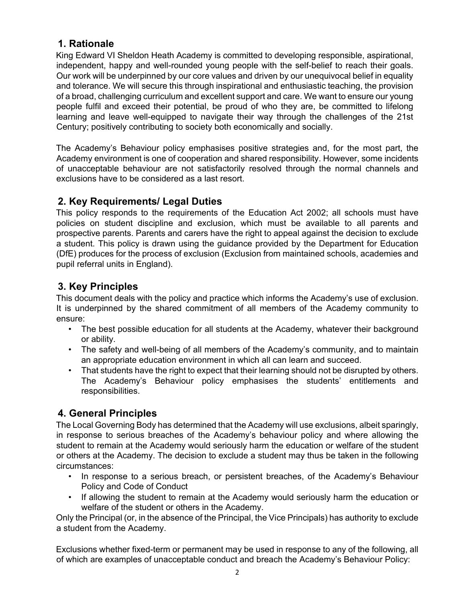## **1. Rationale**

King Edward VI Sheldon Heath Academy is committed to developing responsible, aspirational, independent, happy and well-rounded young people with the self-belief to reach their goals. Our work will be underpinned by our core values and driven by our unequivocal belief in equality and tolerance. We will secure this through inspirational and enthusiastic teaching, the provision of a broad, challenging curriculum and excellent support and care. We want to ensure our young people fulfil and exceed their potential, be proud of who they are, be committed to lifelong learning and leave well-equipped to navigate their way through the challenges of the 21st Century; positively contributing to society both economically and socially.

The Academy's Behaviour policy emphasises positive strategies and, for the most part, the Academy environment is one of cooperation and shared responsibility. However, some incidents of unacceptable behaviour are not satisfactorily resolved through the normal channels and exclusions have to be considered as a last resort.

## **2. Key Requirements/ Legal Duties**

This policy responds to the requirements of the Education Act 2002; all schools must have policies on student discipline and exclusion, which must be available to all parents and prospective parents. Parents and carers have the right to appeal against the decision to exclude a student. This policy is drawn using the guidance provided by the Department for Education (DfE) produces for the process of exclusion (Exclusion from maintained schools, academies and pupil referral units in England).

## **3. Key Principles**

This document deals with the policy and practice which informs the Academy's use of exclusion. It is underpinned by the shared commitment of all members of the Academy community to ensure:

- The best possible education for all students at the Academy, whatever their background or ability.
- The safety and well-being of all members of the Academy's community, and to maintain an appropriate education environment in which all can learn and succeed.
- That students have the right to expect that their learning should not be disrupted by others. The Academy's Behaviour policy emphasises the students' entitlements and responsibilities.

## **4. General Principles**

The Local Governing Body has determined that the Academy will use exclusions, albeit sparingly, in response to serious breaches of the Academy's behaviour policy and where allowing the student to remain at the Academy would seriously harm the education or welfare of the student or others at the Academy. The decision to exclude a student may thus be taken in the following circumstances:

- In response to a serious breach, or persistent breaches, of the Academy's Behaviour Policy and Code of Conduct
- If allowing the student to remain at the Academy would seriously harm the education or welfare of the student or others in the Academy.

Only the Principal (or, in the absence of the Principal, the Vice Principals) has authority to exclude a student from the Academy.

Exclusions whether fixed-term or permanent may be used in response to any of the following, all of which are examples of unacceptable conduct and breach the Academy's Behaviour Policy: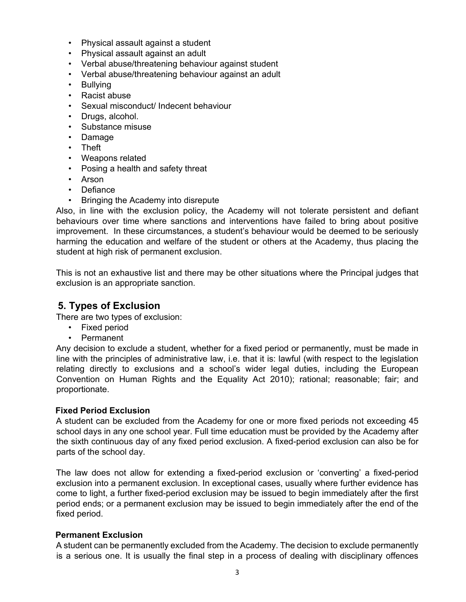- Physical assault against a student
- Physical assault against an adult
- Verbal abuse/threatening behaviour against student
- Verbal abuse/threatening behaviour against an adult
- Bullying
- Racist abuse
- Sexual misconduct/ Indecent behaviour
- Drugs, alcohol.
- Substance misuse
- Damage
- Theft
- Weapons related
- Posing a health and safety threat
- Arson
- Defiance
- Bringing the Academy into disrepute

Also, in line with the exclusion policy, the Academy will not tolerate persistent and defiant behaviours over time where sanctions and interventions have failed to bring about positive improvement. In these circumstances, a student's behaviour would be deemed to be seriously harming the education and welfare of the student or others at the Academy, thus placing the student at high risk of permanent exclusion.

This is not an exhaustive list and there may be other situations where the Principal judges that exclusion is an appropriate sanction.

### **5. Types of Exclusion**

There are two types of exclusion:

- Fixed period
- Permanent

Any decision to exclude a student, whether for a fixed period or permanently, must be made in line with the principles of administrative law, i.e. that it is: lawful (with respect to the legislation relating directly to exclusions and a school's wider legal duties, including the European Convention on Human Rights and the Equality Act 2010); rational; reasonable; fair; and proportionate.

#### **Fixed Period Exclusion**

A student can be excluded from the Academy for one or more fixed periods not exceeding 45 school days in any one school year. Full time education must be provided by the Academy after the sixth continuous day of any fixed period exclusion. A fixed-period exclusion can also be for parts of the school day.

The law does not allow for extending a fixed-period exclusion or 'converting' a fixed-period exclusion into a permanent exclusion. In exceptional cases, usually where further evidence has come to light, a further fixed-period exclusion may be issued to begin immediately after the first period ends; or a permanent exclusion may be issued to begin immediately after the end of the fixed period.

#### **Permanent Exclusion**

A student can be permanently excluded from the Academy. The decision to exclude permanently is a serious one. It is usually the final step in a process of dealing with disciplinary offences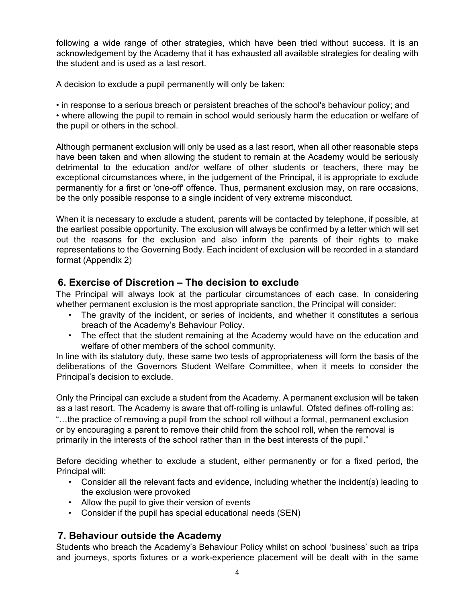following a wide range of other strategies, which have been tried without success. It is an acknowledgement by the Academy that it has exhausted all available strategies for dealing with the student and is used as a last resort.

A decision to exclude a pupil permanently will only be taken:

• in response to a serious breach or persistent breaches of the school's behaviour policy; and • where allowing the pupil to remain in school would seriously harm the education or welfare of the pupil or others in the school.

Although permanent exclusion will only be used as a last resort, when all other reasonable steps have been taken and when allowing the student to remain at the Academy would be seriously detrimental to the education and/or welfare of other students or teachers, there may be exceptional circumstances where, in the judgement of the Principal, it is appropriate to exclude permanently for a first or 'one-off' offence. Thus, permanent exclusion may, on rare occasions, be the only possible response to a single incident of very extreme misconduct.

When it is necessary to exclude a student, parents will be contacted by telephone, if possible, at the earliest possible opportunity. The exclusion will always be confirmed by a letter which will set out the reasons for the exclusion and also inform the parents of their rights to make representations to the Governing Body. Each incident of exclusion will be recorded in a standard format (Appendix 2)

## **6. Exercise of Discretion – The decision to exclude**

The Principal will always look at the particular circumstances of each case. In considering whether permanent exclusion is the most appropriate sanction, the Principal will consider:

- The gravity of the incident, or series of incidents, and whether it constitutes a serious breach of the Academy's Behaviour Policy.
- The effect that the student remaining at the Academy would have on the education and welfare of other members of the school community.

In line with its statutory duty, these same two tests of appropriateness will form the basis of the deliberations of the Governors Student Welfare Committee, when it meets to consider the Principal's decision to exclude.

Only the Principal can exclude a student from the Academy. A permanent exclusion will be taken as a last resort. The Academy is aware that off-rolling is unlawful. Ofsted defines off-rolling as: "…the practice of removing a pupil from the school roll without a formal, permanent exclusion or by encouraging a parent to remove their child from the school roll, when the removal is primarily in the interests of the school rather than in the best interests of the pupil."

Before deciding whether to exclude a student, either permanently or for a fixed period, the Principal will:

- Consider all the relevant facts and evidence, including whether the incident(s) leading to the exclusion were provoked
- Allow the pupil to give their version of events
- Consider if the pupil has special educational needs (SEN)

## **7. Behaviour outside the Academy**

Students who breach the Academy's Behaviour Policy whilst on school 'business' such as trips and journeys, sports fixtures or a work-experience placement will be dealt with in the same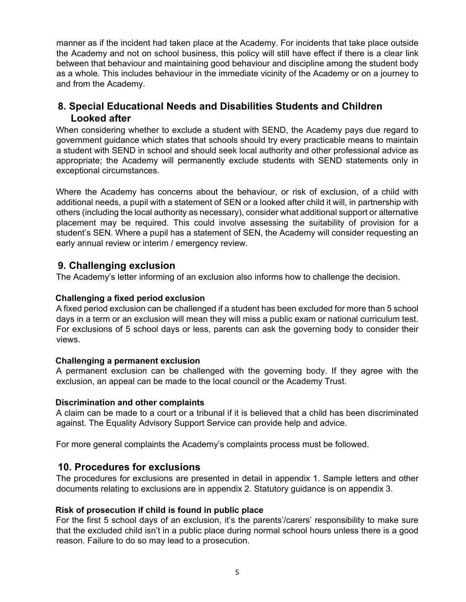manner as if the incident had taken place at the Academy. For incidents that take place outside the Academy and not on school business, this policy will still have effect if there is a clear link between that behaviour and maintaining good behaviour and discipline among the student body as a whole. This includes behaviour in the immediate vicinity of the Academy or on a journey to and from the Academy.

## **8. Special Educational Needs and Disabilities Students and Children Looked after**

When considering whether to exclude a student with SEND, the Academy pays due regard to government guidance which states that schools should try every practicable means to maintain a student with SEND in school and should seek local authority and other professional advice as appropriate; the Academy will permanently exclude students with SEND statements only in exceptional circumstances.

Where the Academy has concerns about the behaviour, or risk of exclusion, of a child with additional needs, a pupil with a statement of SEN or a looked after child it will, in partnership with others (including the local authority as necessary), consider what additional support or alternative placement may be required. This could involve assessing the suitability of provision for a student's SEN. Where a pupil has a statement of SEN, the Academy will consider requesting an early annual review or interim / emergency review.

### **9. Challenging exclusion**

The Academy's letter informing of an exclusion also informs how to challenge the decision.

#### **Challenging a fixed period exclusion**

A fixed period exclusion can be challenged if a student has been excluded for more than 5 school days in a term or an exclusion will mean they will miss a public exam or national curriculum test. For exclusions of 5 school days or less, parents can ask the governing body to consider their views.

#### **Challenging a permanent exclusion**

A permanent exclusion can be challenged with the governing body. If they agree with the exclusion, an appeal can be made to the local council or the Academy Trust.

#### **Discrimination and other complaints**

A claim can be made to a court or a tribunal if it is believed that a child has been discriminated against. The Equality Advisory Support Service can provide help and advice.

For more general complaints the Academy's complaints process must be followed.

### **10. Procedures for exclusions**

The procedures for exclusions are presented in detail in appendix 1. Sample letters and other documents relating to exclusions are in appendix 2. Statutory guidance is on appendix 3.

#### **Risk of prosecution if child is found in public place**

For the first 5 school days of an exclusion, it's the parents'/carers' responsibility to make sure that the excluded child isn't in a public place during normal school hours unless there is a good reason. Failure to do so may lead to a prosecution.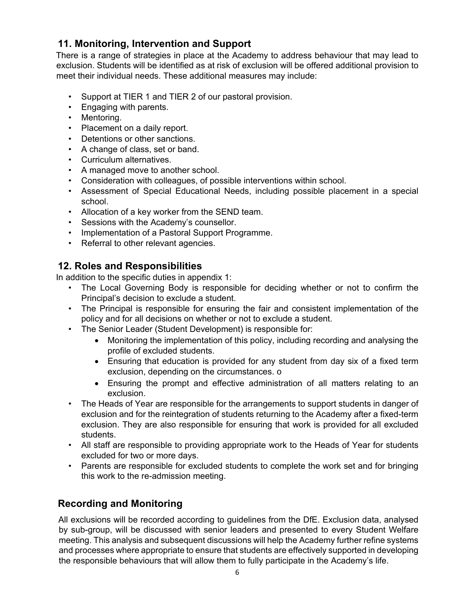## **11. Monitoring, Intervention and Support**

There is a range of strategies in place at the Academy to address behaviour that may lead to exclusion. Students will be identified as at risk of exclusion will be offered additional provision to meet their individual needs. These additional measures may include:

- Support at TIER 1 and TIER 2 of our pastoral provision.
- Engaging with parents.
- Mentoring.
- Placement on a daily report.
- Detentions or other sanctions.
- A change of class, set or band.
- Curriculum alternatives.
- A managed move to another school.
- Consideration with colleagues, of possible interventions within school.
- Assessment of Special Educational Needs, including possible placement in a special school.
- Allocation of a key worker from the SEND team.
- Sessions with the Academy's counsellor.
- Implementation of a Pastoral Support Programme.
- Referral to other relevant agencies.

## **12. Roles and Responsibilities**

In addition to the specific duties in appendix 1:

- The Local Governing Body is responsible for deciding whether or not to confirm the Principal's decision to exclude a student.
- The Principal is responsible for ensuring the fair and consistent implementation of the policy and for all decisions on whether or not to exclude a student.
- The Senior Leader (Student Development) is responsible for:
	- Monitoring the implementation of this policy, including recording and analysing the profile of excluded students.
	- Ensuring that education is provided for any student from day six of a fixed term exclusion, depending on the circumstances. o
	- Ensuring the prompt and effective administration of all matters relating to an exclusion.
- The Heads of Year are responsible for the arrangements to support students in danger of exclusion and for the reintegration of students returning to the Academy after a fixed-term exclusion. They are also responsible for ensuring that work is provided for all excluded students.
- All staff are responsible to providing appropriate work to the Heads of Year for students excluded for two or more days.
- Parents are responsible for excluded students to complete the work set and for bringing this work to the re-admission meeting.

## **Recording and Monitoring**

All exclusions will be recorded according to guidelines from the DfE. Exclusion data, analysed by sub-group, will be discussed with senior leaders and presented to every Student Welfare meeting. This analysis and subsequent discussions will help the Academy further refine systems and processes where appropriate to ensure that students are effectively supported in developing the responsible behaviours that will allow them to fully participate in the Academy's life.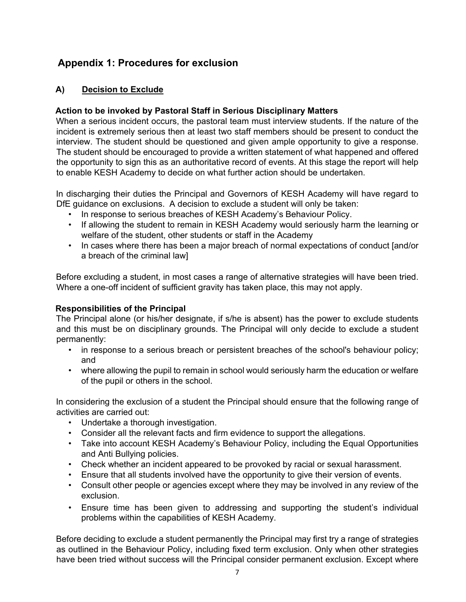## **Appendix 1: Procedures for exclusion**

### **A) Decision to Exclude**

#### **Action to be invoked by Pastoral Staff in Serious Disciplinary Matters**

When a serious incident occurs, the pastoral team must interview students. If the nature of the incident is extremely serious then at least two staff members should be present to conduct the interview. The student should be questioned and given ample opportunity to give a response. The student should be encouraged to provide a written statement of what happened and offered the opportunity to sign this as an authoritative record of events. At this stage the report will help to enable KESH Academy to decide on what further action should be undertaken.

In discharging their duties the Principal and Governors of KESH Academy will have regard to DfE guidance on exclusions. A decision to exclude a student will only be taken:

- In response to serious breaches of KESH Academy's Behaviour Policy.
- If allowing the student to remain in KESH Academy would seriously harm the learning or welfare of the student, other students or staff in the Academy
- In cases where there has been a major breach of normal expectations of conduct [and/or a breach of the criminal law]

Before excluding a student, in most cases a range of alternative strategies will have been tried. Where a one-off incident of sufficient gravity has taken place, this may not apply.

#### **Responsibilities of the Principal**

The Principal alone (or his/her designate, if s/he is absent) has the power to exclude students and this must be on disciplinary grounds. The Principal will only decide to exclude a student permanently:

- in response to a serious breach or persistent breaches of the school's behaviour policy; and
- where allowing the pupil to remain in school would seriously harm the education or welfare of the pupil or others in the school.

In considering the exclusion of a student the Principal should ensure that the following range of activities are carried out:

- Undertake a thorough investigation.
- Consider all the relevant facts and firm evidence to support the allegations.
- Take into account KESH Academy's Behaviour Policy, including the Equal Opportunities and Anti Bullying policies.
- Check whether an incident appeared to be provoked by racial or sexual harassment.
- Ensure that all students involved have the opportunity to give their version of events.
- Consult other people or agencies except where they may be involved in any review of the exclusion.
- Ensure time has been given to addressing and supporting the student's individual problems within the capabilities of KESH Academy.

Before deciding to exclude a student permanently the Principal may first try a range of strategies as outlined in the Behaviour Policy, including fixed term exclusion. Only when other strategies have been tried without success will the Principal consider permanent exclusion. Except where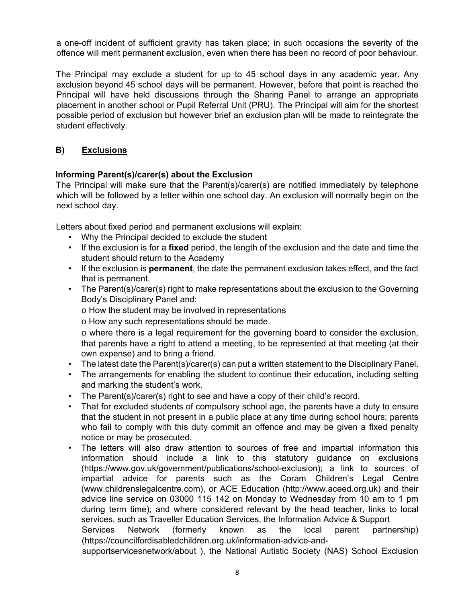a one-off incident of sufficient gravity has taken place; in such occasions the severity of the offence will merit permanent exclusion, even when there has been no record of poor behaviour.

The Principal may exclude a student for up to 45 school days in any academic year. Any exclusion beyond 45 school days will be permanent. However, before that point is reached the Principal will have held discussions through the Sharing Panel to arrange an appropriate placement in another school or Pupil Referral Unit (PRU). The Principal will aim for the shortest possible period of exclusion but however brief an exclusion plan will be made to reintegrate the student effectively.

#### **B) Exclusions**

#### **Informing Parent(s)/carer(s) about the Exclusion**

The Principal will make sure that the Parent(s)/carer(s) are notified immediately by telephone which will be followed by a letter within one school day. An exclusion will normally begin on the next school day.

Letters about fixed period and permanent exclusions will explain:

- Why the Principal decided to exclude the student
- If the exclusion is for a **fixed** period, the length of the exclusion and the date and time the student should return to the Academy
- If the exclusion is **permanent**, the date the permanent exclusion takes effect, and the fact that is permanent.
- The Parent(s)/carer(s) right to make representations about the exclusion to the Governing Body's Disciplinary Panel and:

o How the student may be involved in representations

o How any such representations should be made.

 $\circ$  where there is a legal requirement for the governing board to consider the exclusion, that parents have a right to attend a meeting, to be represented at that meeting (at their own expense) and to bring a friend.

- The latest date the Parent(s)/carer(s) can put a written statement to the Disciplinary Panel.
- The arrangements for enabling the student to continue their education, including setting and marking the student's work.
- The Parent(s)/carer(s) right to see and have a copy of their child's record.
- That for excluded students of compulsory school age, the parents have a duty to ensure that the student in not present in a public place at any time during school hours; parents who fail to comply with this duty commit an offence and may be given a fixed penalty notice or may be prosecuted.
- The letters will also draw attention to sources of free and impartial information this information should include a link to this statutory guidance on exclusions (https://www.gov.uk/government/publications/school-exclusion); a link to sources of impartial advice for parents such as the Coram Children's Legal Centre (www.childrenslegalcentre.com), or ACE Education (http://www.aceed.org.uk) and their advice line service on 03000 115 142 on Monday to Wednesday from 10 am to 1 pm during term time); and where considered relevant by the head teacher, links to local services, such as Traveller Education Services, the Information Advice & Support Services Network (formerly known as the local parent partnership) (https://councilfordisabledchildren.org.uk/information-advice-and-

supportservicesnetwork/about ), the National Autistic Society (NAS) School Exclusion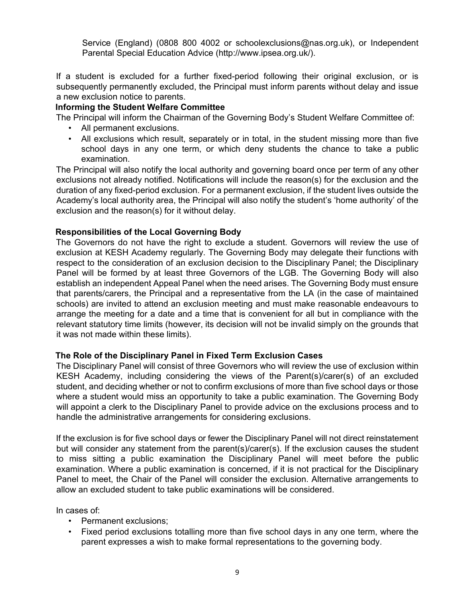Service (England) (0808 800 4002 or schoolexclusions@nas.org.uk), or Independent Parental Special Education Advice (http://www.ipsea.org.uk/).

If a student is excluded for a further fixed-period following their original exclusion, or is subsequently permanently excluded, the Principal must inform parents without delay and issue a new exclusion notice to parents.

#### **Informing the Student Welfare Committee**

The Principal will inform the Chairman of the Governing Body's Student Welfare Committee of:

- All permanent exclusions.
- All exclusions which result, separately or in total, in the student missing more than five school days in any one term, or which deny students the chance to take a public examination.

The Principal will also notify the local authority and governing board once per term of any other exclusions not already notified. Notifications will include the reason(s) for the exclusion and the duration of any fixed-period exclusion. For a permanent exclusion, if the student lives outside the Academy's local authority area, the Principal will also notify the student's 'home authority' of the exclusion and the reason(s) for it without delay.

#### **Responsibilities of the Local Governing Body**

The Governors do not have the right to exclude a student. Governors will review the use of exclusion at KESH Academy regularly. The Governing Body may delegate their functions with respect to the consideration of an exclusion decision to the Disciplinary Panel; the Disciplinary Panel will be formed by at least three Governors of the LGB. The Governing Body will also establish an independent Appeal Panel when the need arises. The Governing Body must ensure that parents/carers, the Principal and a representative from the LA (in the case of maintained schools) are invited to attend an exclusion meeting and must make reasonable endeavours to arrange the meeting for a date and a time that is convenient for all but in compliance with the relevant statutory time limits (however, its decision will not be invalid simply on the grounds that it was not made within these limits).

#### **The Role of the Disciplinary Panel in Fixed Term Exclusion Cases**

The Disciplinary Panel will consist of three Governors who will review the use of exclusion within KESH Academy, including considering the views of the Parent(s)/carer(s) of an excluded student, and deciding whether or not to confirm exclusions of more than five school days or those where a student would miss an opportunity to take a public examination. The Governing Body will appoint a clerk to the Disciplinary Panel to provide advice on the exclusions process and to handle the administrative arrangements for considering exclusions.

If the exclusion is for five school days or fewer the Disciplinary Panel will not direct reinstatement but will consider any statement from the parent(s)/carer(s). If the exclusion causes the student to miss sitting a public examination the Disciplinary Panel will meet before the public examination. Where a public examination is concerned, if it is not practical for the Disciplinary Panel to meet, the Chair of the Panel will consider the exclusion. Alternative arrangements to allow an excluded student to take public examinations will be considered.

In cases of:

- Permanent exclusions;
- Fixed period exclusions totalling more than five school days in any one term, where the parent expresses a wish to make formal representations to the governing body.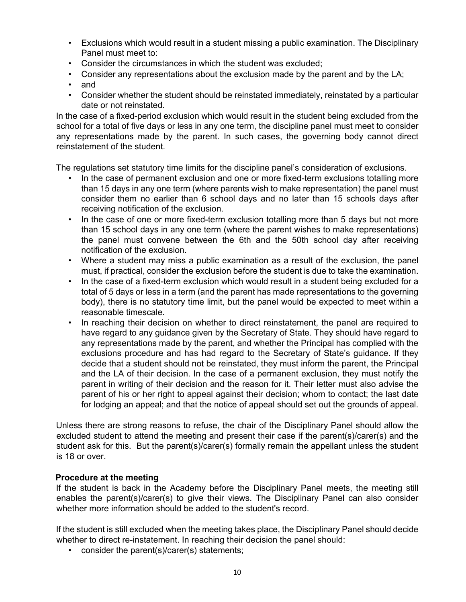- Exclusions which would result in a student missing a public examination. The Disciplinary Panel must meet to:
- Consider the circumstances in which the student was excluded;
- Consider any representations about the exclusion made by the parent and by the LA;
- and
- Consider whether the student should be reinstated immediately, reinstated by a particular date or not reinstated.

In the case of a fixed-period exclusion which would result in the student being excluded from the school for a total of five days or less in any one term, the discipline panel must meet to consider any representations made by the parent. In such cases, the governing body cannot direct reinstatement of the student.

The regulations set statutory time limits for the discipline panel's consideration of exclusions.

- In the case of permanent exclusion and one or more fixed-term exclusions totalling more than 15 days in any one term (where parents wish to make representation) the panel must consider them no earlier than 6 school days and no later than 15 schools days after receiving notification of the exclusion.
- In the case of one or more fixed-term exclusion totalling more than 5 days but not more than 15 school days in any one term (where the parent wishes to make representations) the panel must convene between the 6th and the 50th school day after receiving notification of the exclusion.
- Where a student may miss a public examination as a result of the exclusion, the panel must, if practical, consider the exclusion before the student is due to take the examination.
- In the case of a fixed-term exclusion which would result in a student being excluded for a total of 5 days or less in a term (and the parent has made representations to the governing body), there is no statutory time limit, but the panel would be expected to meet within a reasonable timescale.
- In reaching their decision on whether to direct reinstatement, the panel are required to have regard to any guidance given by the Secretary of State. They should have regard to any representations made by the parent, and whether the Principal has complied with the exclusions procedure and has had regard to the Secretary of State's guidance. If they decide that a student should not be reinstated, they must inform the parent, the Principal and the LA of their decision. In the case of a permanent exclusion, they must notify the parent in writing of their decision and the reason for it. Their letter must also advise the parent of his or her right to appeal against their decision; whom to contact; the last date for lodging an appeal; and that the notice of appeal should set out the grounds of appeal.

Unless there are strong reasons to refuse, the chair of the Disciplinary Panel should allow the excluded student to attend the meeting and present their case if the parent(s)/carer(s) and the student ask for this. But the parent(s)/carer(s) formally remain the appellant unless the student is 18 or over.

#### **Procedure at the meeting**

If the student is back in the Academy before the Disciplinary Panel meets, the meeting still enables the parent(s)/carer(s) to give their views. The Disciplinary Panel can also consider whether more information should be added to the student's record.

If the student is still excluded when the meeting takes place, the Disciplinary Panel should decide whether to direct re-instatement. In reaching their decision the panel should:

• consider the parent(s)/carer(s) statements;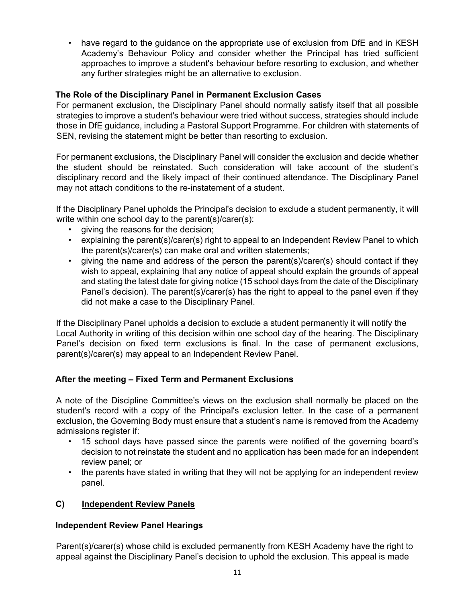have regard to the guidance on the appropriate use of exclusion from DfE and in KESH Academy's Behaviour Policy and consider whether the Principal has tried sufficient approaches to improve a student's behaviour before resorting to exclusion, and whether any further strategies might be an alternative to exclusion.

#### **The Role of the Disciplinary Panel in Permanent Exclusion Cases**

For permanent exclusion, the Disciplinary Panel should normally satisfy itself that all possible strategies to improve a student's behaviour were tried without success, strategies should include those in DfE guidance, including a Pastoral Support Programme. For children with statements of SEN, revising the statement might be better than resorting to exclusion.

For permanent exclusions, the Disciplinary Panel will consider the exclusion and decide whether the student should be reinstated. Such consideration will take account of the student's disciplinary record and the likely impact of their continued attendance. The Disciplinary Panel may not attach conditions to the re-instatement of a student.

If the Disciplinary Panel upholds the Principal's decision to exclude a student permanently, it will write within one school day to the parent(s)/carer(s):

- giving the reasons for the decision;
- explaining the parent(s)/carer(s) right to appeal to an Independent Review Panel to which the parent(s)/carer(s) can make oral and written statements;
- giving the name and address of the person the parent(s)/carer(s) should contact if they wish to appeal, explaining that any notice of appeal should explain the grounds of appeal and stating the latest date for giving notice (15 school days from the date of the Disciplinary Panel's decision). The parent(s)/carer(s) has the right to appeal to the panel even if they did not make a case to the Disciplinary Panel.

If the Disciplinary Panel upholds a decision to exclude a student permanently it will notify the Local Authority in writing of this decision within one school day of the hearing. The Disciplinary Panel's decision on fixed term exclusions is final. In the case of permanent exclusions, parent(s)/carer(s) may appeal to an Independent Review Panel.

#### **After the meeting – Fixed Term and Permanent Exclusions**

A note of the Discipline Committee's views on the exclusion shall normally be placed on the student's record with a copy of the Principal's exclusion letter. In the case of a permanent exclusion, the Governing Body must ensure that a student's name is removed from the Academy admissions register if:

- 15 school days have passed since the parents were notified of the governing board's decision to not reinstate the student and no application has been made for an independent review panel; or
- the parents have stated in writing that they will not be applying for an independent review panel.

#### **C) Independent Review Panels**

#### **Independent Review Panel Hearings**

Parent(s)/carer(s) whose child is excluded permanently from KESH Academy have the right to appeal against the Disciplinary Panel's decision to uphold the exclusion. This appeal is made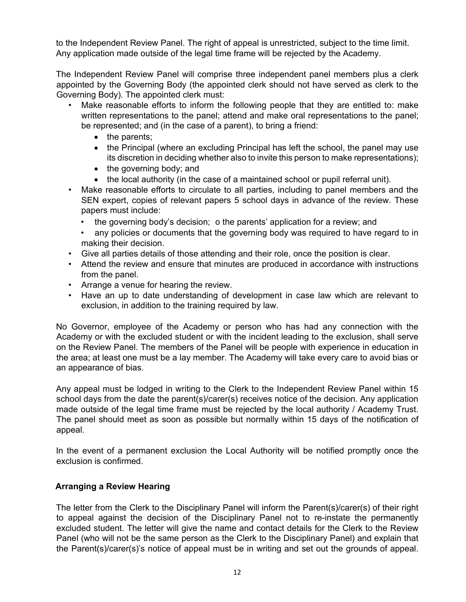to the Independent Review Panel. The right of appeal is unrestricted, subject to the time limit. Any application made outside of the legal time frame will be rejected by the Academy.

The Independent Review Panel will comprise three independent panel members plus a clerk appointed by the Governing Body (the appointed clerk should not have served as clerk to the Governing Body). The appointed clerk must:

- Make reasonable efforts to inform the following people that they are entitled to: make written representations to the panel; attend and make oral representations to the panel; be represented; and (in the case of a parent), to bring a friend:
	- $\bullet$  the parents;
	- the Principal (where an excluding Principal has left the school, the panel may use its discretion in deciding whether also to invite this person to make representations);
	- $\bullet$  the governing body; and
	- the local authority (in the case of a maintained school or pupil referral unit).
- Make reasonable efforts to circulate to all parties, including to panel members and the SEN expert, copies of relevant papers 5 school days in advance of the review. These papers must include:
	- the governing body's decision;  $\circ$  the parents' application for a review; and
	- any policies or documents that the governing body was required to have regard to in making their decision.
- Give all parties details of those attending and their role, once the position is clear.
- Attend the review and ensure that minutes are produced in accordance with instructions from the panel.
- Arrange a venue for hearing the review.
- Have an up to date understanding of development in case law which are relevant to exclusion, in addition to the training required by law.

No Governor, employee of the Academy or person who has had any connection with the Academy or with the excluded student or with the incident leading to the exclusion, shall serve on the Review Panel. The members of the Panel will be people with experience in education in the area; at least one must be a lay member. The Academy will take every care to avoid bias or an appearance of bias.

Any appeal must be lodged in writing to the Clerk to the Independent Review Panel within 15 school days from the date the parent(s)/carer(s) receives notice of the decision. Any application made outside of the legal time frame must be rejected by the local authority / Academy Trust. The panel should meet as soon as possible but normally within 15 days of the notification of appeal.

In the event of a permanent exclusion the Local Authority will be notified promptly once the exclusion is confirmed.

#### **Arranging a Review Hearing**

The letter from the Clerk to the Disciplinary Panel will inform the Parent(s)/carer(s) of their right to appeal against the decision of the Disciplinary Panel not to re-instate the permanently excluded student. The letter will give the name and contact details for the Clerk to the Review Panel (who will not be the same person as the Clerk to the Disciplinary Panel) and explain that the Parent(s)/carer(s)'s notice of appeal must be in writing and set out the grounds of appeal.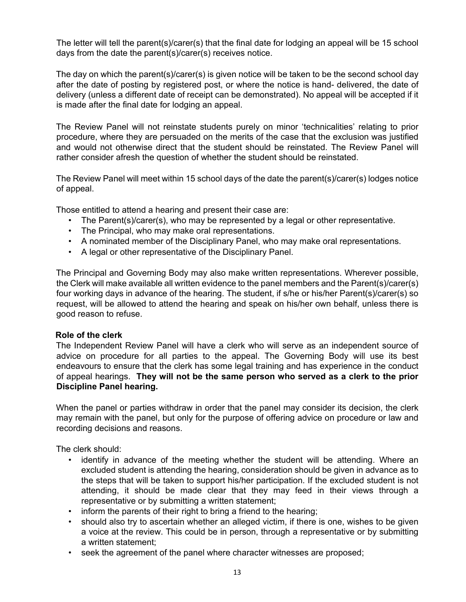The letter will tell the parent(s)/carer(s) that the final date for lodging an appeal will be 15 school days from the date the parent(s)/carer(s) receives notice.

The day on which the parent(s)/carer(s) is given notice will be taken to be the second school day after the date of posting by registered post, or where the notice is hand- delivered, the date of delivery (unless a different date of receipt can be demonstrated). No appeal will be accepted if it is made after the final date for lodging an appeal.

The Review Panel will not reinstate students purely on minor 'technicalities' relating to prior procedure, where they are persuaded on the merits of the case that the exclusion was justified and would not otherwise direct that the student should be reinstated. The Review Panel will rather consider afresh the question of whether the student should be reinstated.

The Review Panel will meet within 15 school days of the date the parent(s)/carer(s) lodges notice of appeal.

Those entitled to attend a hearing and present their case are:

- The Parent(s)/carer(s), who may be represented by a legal or other representative.
- The Principal, who may make oral representations.
- A nominated member of the Disciplinary Panel, who may make oral representations.
- A legal or other representative of the Disciplinary Panel.

The Principal and Governing Body may also make written representations. Wherever possible, the Clerk will make available all written evidence to the panel members and the Parent(s)/carer(s) four working days in advance of the hearing. The student, if s/he or his/her Parent(s)/carer(s) so request, will be allowed to attend the hearing and speak on his/her own behalf, unless there is good reason to refuse.

#### **Role of the clerk**

The Independent Review Panel will have a clerk who will serve as an independent source of advice on procedure for all parties to the appeal. The Governing Body will use its best endeavours to ensure that the clerk has some legal training and has experience in the conduct of appeal hearings. **They will not be the same person who served as a clerk to the prior Discipline Panel hearing.**

When the panel or parties withdraw in order that the panel may consider its decision, the clerk may remain with the panel, but only for the purpose of offering advice on procedure or law and recording decisions and reasons.

The clerk should:

- identify in advance of the meeting whether the student will be attending. Where an excluded student is attending the hearing, consideration should be given in advance as to the steps that will be taken to support his/her participation. If the excluded student is not attending, it should be made clear that they may feed in their views through a representative or by submitting a written statement;
- inform the parents of their right to bring a friend to the hearing;
- should also try to ascertain whether an alleged victim, if there is one, wishes to be given a voice at the review. This could be in person, through a representative or by submitting a written statement;
- seek the agreement of the panel where character witnesses are proposed;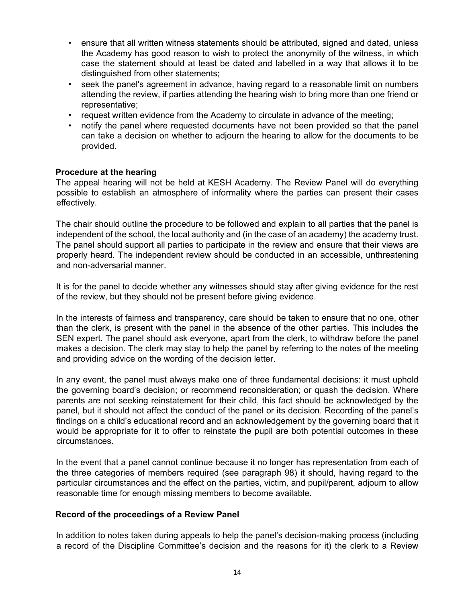- ensure that all written witness statements should be attributed, signed and dated, unless the Academy has good reason to wish to protect the anonymity of the witness, in which case the statement should at least be dated and labelled in a way that allows it to be distinguished from other statements;
- seek the panel's agreement in advance, having regard to a reasonable limit on numbers attending the review, if parties attending the hearing wish to bring more than one friend or representative;
- request written evidence from the Academy to circulate in advance of the meeting;
- notify the panel where requested documents have not been provided so that the panel can take a decision on whether to adjourn the hearing to allow for the documents to be provided.

#### **Procedure at the hearing**

The appeal hearing will not be held at KESH Academy. The Review Panel will do everything possible to establish an atmosphere of informality where the parties can present their cases effectively.

The chair should outline the procedure to be followed and explain to all parties that the panel is independent of the school, the local authority and (in the case of an academy) the academy trust. The panel should support all parties to participate in the review and ensure that their views are properly heard. The independent review should be conducted in an accessible, unthreatening and non-adversarial manner.

It is for the panel to decide whether any witnesses should stay after giving evidence for the rest of the review, but they should not be present before giving evidence.

In the interests of fairness and transparency, care should be taken to ensure that no one, other than the clerk, is present with the panel in the absence of the other parties. This includes the SEN expert. The panel should ask everyone, apart from the clerk, to withdraw before the panel makes a decision. The clerk may stay to help the panel by referring to the notes of the meeting and providing advice on the wording of the decision letter.

In any event, the panel must always make one of three fundamental decisions: it must uphold the governing board's decision; or recommend reconsideration; or quash the decision. Where parents are not seeking reinstatement for their child, this fact should be acknowledged by the panel, but it should not affect the conduct of the panel or its decision. Recording of the panel's findings on a child's educational record and an acknowledgement by the governing board that it would be appropriate for it to offer to reinstate the pupil are both potential outcomes in these circumstances.

In the event that a panel cannot continue because it no longer has representation from each of the three categories of members required (see paragraph 98) it should, having regard to the particular circumstances and the effect on the parties, victim, and pupil/parent, adjourn to allow reasonable time for enough missing members to become available.

#### **Record of the proceedings of a Review Panel**

In addition to notes taken during appeals to help the panel's decision-making process (including a record of the Discipline Committee's decision and the reasons for it) the clerk to a Review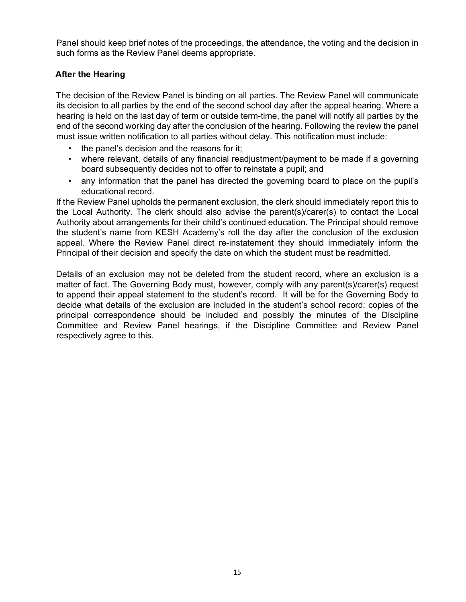Panel should keep brief notes of the proceedings, the attendance, the voting and the decision in such forms as the Review Panel deems appropriate.

#### **After the Hearing**

The decision of the Review Panel is binding on all parties. The Review Panel will communicate its decision to all parties by the end of the second school day after the appeal hearing. Where a hearing is held on the last day of term or outside term-time, the panel will notify all parties by the end of the second working day after the conclusion of the hearing. Following the review the panel must issue written notification to all parties without delay. This notification must include:

- the panel's decision and the reasons for it;
- where relevant, details of any financial readjustment/payment to be made if a governing board subsequently decides not to offer to reinstate a pupil; and
- any information that the panel has directed the governing board to place on the pupil's educational record.

If the Review Panel upholds the permanent exclusion, the clerk should immediately report this to the Local Authority. The clerk should also advise the parent(s)/carer(s) to contact the Local Authority about arrangements for their child's continued education. The Principal should remove the student's name from KESH Academy's roll the day after the conclusion of the exclusion appeal. Where the Review Panel direct re-instatement they should immediately inform the Principal of their decision and specify the date on which the student must be readmitted.

Details of an exclusion may not be deleted from the student record, where an exclusion is a matter of fact. The Governing Body must, however, comply with any parent(s)/carer(s) request to append their appeal statement to the student's record. It will be for the Governing Body to decide what details of the exclusion are included in the student's school record: copies of the principal correspondence should be included and possibly the minutes of the Discipline Committee and Review Panel hearings, if the Discipline Committee and Review Panel respectively agree to this.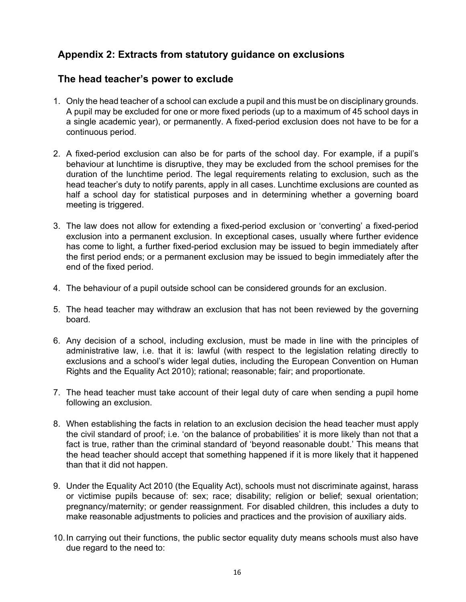## **Appendix 2: Extracts from statutory guidance on exclusions**

### **The head teacher's power to exclude**

- 1. Only the head teacher of a school can exclude a pupil and this must be on disciplinary grounds. A pupil may be excluded for one or more fixed periods (up to a maximum of 45 school days in a single academic year), or permanently. A fixed-period exclusion does not have to be for a continuous period.
- 2. A fixed-period exclusion can also be for parts of the school day. For example, if a pupil's behaviour at lunchtime is disruptive, they may be excluded from the school premises for the duration of the lunchtime period. The legal requirements relating to exclusion, such as the head teacher's duty to notify parents, apply in all cases. Lunchtime exclusions are counted as half a school day for statistical purposes and in determining whether a governing board meeting is triggered.
- 3. The law does not allow for extending a fixed-period exclusion or 'converting' a fixed-period exclusion into a permanent exclusion. In exceptional cases, usually where further evidence has come to light, a further fixed-period exclusion may be issued to begin immediately after the first period ends; or a permanent exclusion may be issued to begin immediately after the end of the fixed period.
- 4. The behaviour of a pupil outside school can be considered grounds for an exclusion.
- 5. The head teacher may withdraw an exclusion that has not been reviewed by the governing board.
- 6. Any decision of a school, including exclusion, must be made in line with the principles of administrative law, i.e. that it is: lawful (with respect to the legislation relating directly to exclusions and a school's wider legal duties, including the European Convention on Human Rights and the Equality Act 2010); rational; reasonable; fair; and proportionate.
- 7. The head teacher must take account of their legal duty of care when sending a pupil home following an exclusion.
- 8. When establishing the facts in relation to an exclusion decision the head teacher must apply the civil standard of proof; i.e. 'on the balance of probabilities' it is more likely than not that a fact is true, rather than the criminal standard of 'beyond reasonable doubt.' This means that the head teacher should accept that something happened if it is more likely that it happened than that it did not happen.
- 9. Under the Equality Act 2010 (the Equality Act), schools must not discriminate against, harass or victimise pupils because of: sex; race; disability; religion or belief; sexual orientation; pregnancy/maternity; or gender reassignment. For disabled children, this includes a duty to make reasonable adjustments to policies and practices and the provision of auxiliary aids.
- 10. In carrying out their functions, the public sector equality duty means schools must also have due regard to the need to: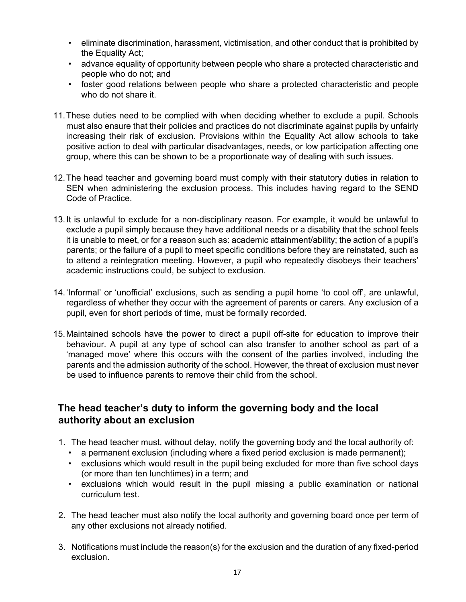- eliminate discrimination, harassment, victimisation, and other conduct that is prohibited by the Equality Act;
- advance equality of opportunity between people who share a protected characteristic and people who do not; and
- foster good relations between people who share a protected characteristic and people who do not share it.
- 11. These duties need to be complied with when deciding whether to exclude a pupil. Schools must also ensure that their policies and practices do not discriminate against pupils by unfairly increasing their risk of exclusion. Provisions within the Equality Act allow schools to take positive action to deal with particular disadvantages, needs, or low participation affecting one group, where this can be shown to be a proportionate way of dealing with such issues.
- 12. The head teacher and governing board must comply with their statutory duties in relation to SEN when administering the exclusion process. This includes having regard to the SEND Code of Practice.
- 13. It is unlawful to exclude for a non-disciplinary reason. For example, it would be unlawful to exclude a pupil simply because they have additional needs or a disability that the school feels it is unable to meet, or for a reason such as: academic attainment/ability; the action of a pupil's parents; or the failure of a pupil to meet specific conditions before they are reinstated, such as to attend a reintegration meeting. However, a pupil who repeatedly disobeys their teachers' academic instructions could, be subject to exclusion.
- 14. 'Informal' or 'unofficial' exclusions, such as sending a pupil home 'to cool off', are unlawful, regardless of whether they occur with the agreement of parents or carers. Any exclusion of a pupil, even for short periods of time, must be formally recorded.
- 15. Maintained schools have the power to direct a pupil off-site for education to improve their behaviour. A pupil at any type of school can also transfer to another school as part of a 'managed move' where this occurs with the consent of the parties involved, including the parents and the admission authority of the school. However, the threat of exclusion must never be used to influence parents to remove their child from the school.

## **The head teacher's duty to inform the governing body and the local authority about an exclusion**

- 1. The head teacher must, without delay, notify the governing body and the local authority of:
	- a permanent exclusion (including where a fixed period exclusion is made permanent);
	- exclusions which would result in the pupil being excluded for more than five school days (or more than ten lunchtimes) in a term; and
	- exclusions which would result in the pupil missing a public examination or national curriculum test.
- 2. The head teacher must also notify the local authority and governing board once per term of any other exclusions not already notified.
- 3. Notifications must include the reason(s) for the exclusion and the duration of any fixed-period exclusion.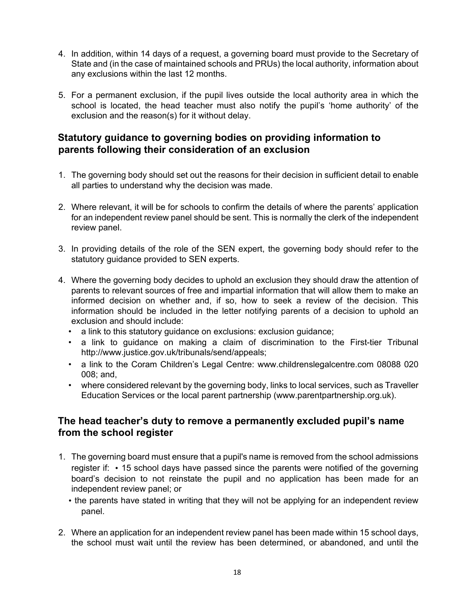- 4. In addition, within 14 days of a request, a governing board must provide to the Secretary of State and (in the case of maintained schools and PRUs) the local authority, information about any exclusions within the last 12 months.
- 5. For a permanent exclusion, if the pupil lives outside the local authority area in which the school is located, the head teacher must also notify the pupil's 'home authority' of the exclusion and the reason(s) for it without delay.

## **Statutory guidance to governing bodies on providing information to parents following their consideration of an exclusion**

- 1. The governing body should set out the reasons for their decision in sufficient detail to enable all parties to understand why the decision was made.
- 2. Where relevant, it will be for schools to confirm the details of where the parents' application for an independent review panel should be sent. This is normally the clerk of the independent review panel.
- 3. In providing details of the role of the SEN expert, the governing body should refer to the statutory guidance provided to SEN experts.
- 4. Where the governing body decides to uphold an exclusion they should draw the attention of parents to relevant sources of free and impartial information that will allow them to make an informed decision on whether and, if so, how to seek a review of the decision. This information should be included in the letter notifying parents of a decision to uphold an exclusion and should include:
	- a link to this statutory guidance on exclusions: exclusion guidance;
	- a link to guidance on making a claim of discrimination to the First-tier Tribunal http://www.justice.gov.uk/tribunals/send/appeals;
	- a link to the Coram Children's Legal Centre: www.childrenslegalcentre.com 08088 020 008; and,
	- where considered relevant by the governing body, links to local services, such as Traveller Education Services or the local parent partnership (www.parentpartnership.org.uk).

## **The head teacher's duty to remove a permanently excluded pupil's name from the school register**

- 1. The governing board must ensure that a pupil's name is removed from the school admissions register if: • 15 school days have passed since the parents were notified of the governing board's decision to not reinstate the pupil and no application has been made for an independent review panel; or
	- the parents have stated in writing that they will not be applying for an independent review panel.
- 2. Where an application for an independent review panel has been made within 15 school days, the school must wait until the review has been determined, or abandoned, and until the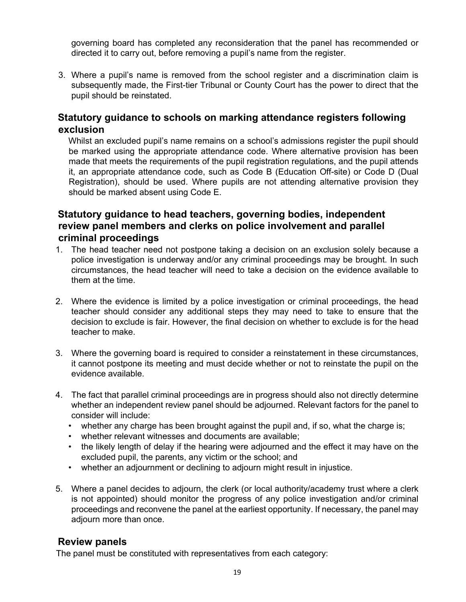governing board has completed any reconsideration that the panel has recommended or directed it to carry out, before removing a pupil's name from the register.

3. Where a pupil's name is removed from the school register and a discrimination claim is subsequently made, the First-tier Tribunal or County Court has the power to direct that the pupil should be reinstated.

### **Statutory guidance to schools on marking attendance registers following exclusion**

Whilst an excluded pupil's name remains on a school's admissions register the pupil should be marked using the appropriate attendance code. Where alternative provision has been made that meets the requirements of the pupil registration regulations, and the pupil attends it, an appropriate attendance code, such as Code B (Education Off-site) or Code D (Dual Registration), should be used. Where pupils are not attending alternative provision they should be marked absent using Code E.

## **Statutory guidance to head teachers, governing bodies, independent review panel members and clerks on police involvement and parallel criminal proceedings**

- 1. The head teacher need not postpone taking a decision on an exclusion solely because a police investigation is underway and/or any criminal proceedings may be brought. In such circumstances, the head teacher will need to take a decision on the evidence available to them at the time.
- 2. Where the evidence is limited by a police investigation or criminal proceedings, the head teacher should consider any additional steps they may need to take to ensure that the decision to exclude is fair. However, the final decision on whether to exclude is for the head teacher to make.
- 3. Where the governing board is required to consider a reinstatement in these circumstances, it cannot postpone its meeting and must decide whether or not to reinstate the pupil on the evidence available.
- 4. The fact that parallel criminal proceedings are in progress should also not directly determine whether an independent review panel should be adjourned. Relevant factors for the panel to consider will include:
	- whether any charge has been brought against the pupil and, if so, what the charge is;
	- whether relevant witnesses and documents are available;
	- the likely length of delay if the hearing were adjourned and the effect it may have on the excluded pupil, the parents, any victim or the school; and
	- whether an adjournment or declining to adjourn might result in injustice.
- 5. Where a panel decides to adjourn, the clerk (or local authority/academy trust where a clerk is not appointed) should monitor the progress of any police investigation and/or criminal proceedings and reconvene the panel at the earliest opportunity. If necessary, the panel may adjourn more than once.

### **Review panels**

The panel must be constituted with representatives from each category: